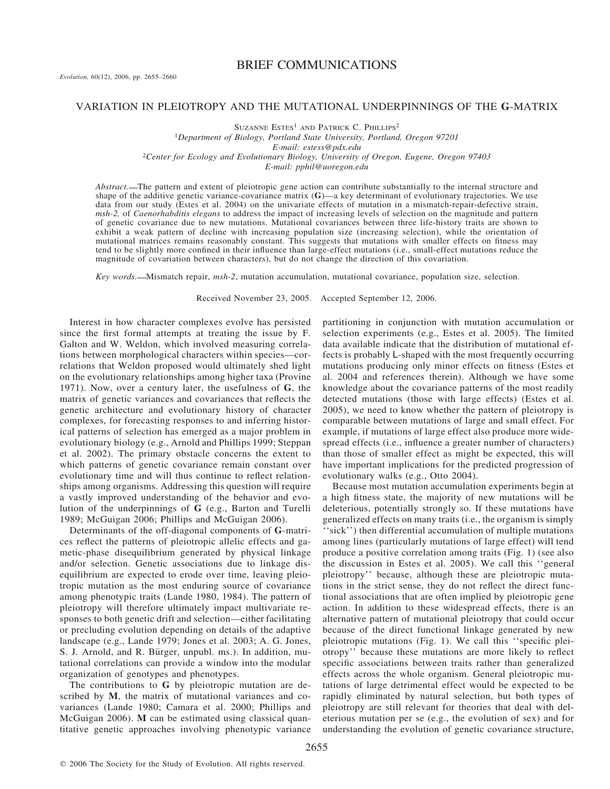# BRIEF COMMUNICATIONS

## VARIATION IN PLEIOTROPY AND THE MUTATIONAL UNDERPINNINGS OF THE **G**-MATRIX

 $S$ UZANNE  $E$ STES<sup>1</sup> AND PATRICK C. PHILLIPS<sup>2</sup> <sup>1</sup>*Department of Biology, Portland State University, Portland, Oregon 97201 E-mail: estess@pdx.edu* <sup>2</sup>*Center for Ecology and Evolutionary Biology, University of Oregon, Eugene, Oregon 97403 E-mail: pphil@uoregon.edu*

*Abstract.* The pattern and extent of pleiotropic gene action can contribute substantially to the internal structure and shape of the additive genetic variance-covariance matrix (**G**)—a key determinant of evolutionary trajectories. We use data from our study (Estes et al. 2004) on the univariate effects of mutation in a mismatch-repair-defective strain, *msh-2,* of *Caenorhabditis elegans* to address the impact of increasing levels of selection on the magnitude and pattern of genetic covariance due to new mutations. Mutational covariances between three life-history traits are shown to exhibit a weak pattern of decline with increasing population size (increasing selection), while the orientation of mutational matrices remains reasonably constant. This suggests that mutations with smaller effects on fitness may tend to be slightly more confined in their influence than large-effect mutations (i.e., small-effect mutations reduce the magnitude of covariation between characters), but do not change the direction of this covariation.

*Key words.* Mismatch repair, *msh-2*, mutation accumulation, mutational covariance, population size, selection.

Received November 23, 2005. Accepted September 12, 2006.

Interest in how character complexes evolve has persisted since the first formal attempts at treating the issue by F. Galton and W. Weldon, which involved measuring correlations between morphological characters within species—correlations that Weldon proposed would ultimately shed light on the evolutionary relationships among higher taxa (Provine 1971). Now, over a century later, the usefulness of **G**, the matrix of genetic variances and covariances that reflects the genetic architecture and evolutionary history of character complexes, for forecasting responses to and inferring historical patterns of selection has emerged as a major problem in evolutionary biology (e.g., Arnold and Phillips 1999; Steppan et al. 2002). The primary obstacle concerns the extent to which patterns of genetic covariance remain constant over evolutionary time and will thus continue to reflect relationships among organisms. Addressing this question will require a vastly improved understanding of the behavior and evolution of the underpinnings of **G** (e.g., Barton and Turelli 1989; McGuigan 2006; Phillips and McGuigan 2006).

Determinants of the off-diagonal components of **G**-matrices reflect the patterns of pleiotropic allelic effects and gametic-phase disequilibrium generated by physical linkage and/or selection. Genetic associations due to linkage disequilibrium are expected to erode over time, leaving pleiotropic mutation as the most enduring source of covariance among phenotypic traits (Lande 1980, 1984). The pattern of pleiotropy will therefore ultimately impact multivariate responses to both genetic drift and selection—either facilitating or precluding evolution depending on details of the adaptive landscape (e.g., Lande 1979; Jones et al. 2003; A. G. Jones, S. J. Arnold, and R. Bürger, unpubl. ms.). In addition, mutational correlations can provide a window into the modular organization of genotypes and phenotypes.

The contributions to **G** by pleiotropic mutation are described by **M**, the matrix of mutational variances and covariances (Lande 1980; Camara et al. 2000; Phillips and McGuigan 2006). **M** can be estimated using classical quantitative genetic approaches involving phenotypic variance

partitioning in conjunction with mutation accumulation or selection experiments (e.g., Estes et al. 2005). The limited data available indicate that the distribution of mutational effects is probably L-shaped with the most frequently occurring mutations producing only minor effects on fitness (Estes et al. 2004 and references therein). Although we have some knowledge about the covariance patterns of the most readily detected mutations (those with large effects) (Estes et al. 2005), we need to know whether the pattern of pleiotropy is comparable between mutations of large and small effect. For example, if mutations of large effect also produce more widespread effects (i.e., influence a greater number of characters) than those of smaller effect as might be expected, this will have important implications for the predicted progression of evolutionary walks (e.g., Otto 2004).

Because most mutation accumulation experiments begin at a high fitness state, the majority of new mutations will be deleterious, potentially strongly so. If these mutations have generalized effects on many traits (i.e., the organism is simply "sick") then differential accumulation of multiple mutations among lines (particularly mutations of large effect) will tend produce a positive correlation among traits (Fig. 1) (see also the discussion in Estes et al. 2005). We call this ''general pleiotropy'' because, although these are pleiotropic mutations in the strict sense, they do not reflect the direct functional associations that are often implied by pleiotropic gene action. In addition to these widespread effects, there is an alternative pattern of mutational pleiotropy that could occur because of the direct functional linkage generated by new pleiotropic mutations (Fig. 1). We call this ''specific pleiotropy'' because these mutations are more likely to reflect specific associations between traits rather than generalized effects across the whole organism. General pleiotropic mutations of large detrimental effect would be expected to be rapidly eliminated by natural selection, but both types of pleiotropy are still relevant for theories that deal with deleterious mutation per se (e.g., the evolution of sex) and for understanding the evolution of genetic covariance structure,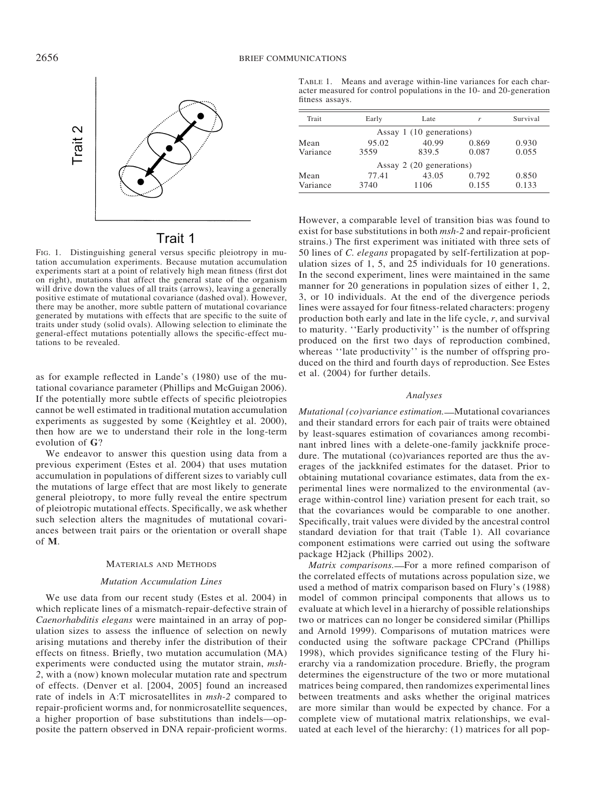

# Trait 1

FIG. 1. Distinguishing general versus specific pleiotropy in mutation accumulation experiments. Because mutation accumulation experiments start at a point of relatively high mean fitness (first dot on right), mutations that affect the general state of the organism will drive down the values of all traits (arrows), leaving a generally positive estimate of mutational covariance (dashed oval). However, there may be another, more subtle pattern of mutational covariance generated by mutations with effects that are specific to the suite of traits under study (solid ovals). Allowing selection to eliminate the general-effect mutations potentially allows the specific-effect mutations to be revealed.

as for example reflected in Lande's (1980) use of the mutational covariance parameter (Phillips and McGuigan 2006). If the potentially more subtle effects of specific pleiotropies cannot be well estimated in traditional mutation accumulation experiments as suggested by some (Keightley et al. 2000), then how are we to understand their role in the long-term evolution of **G**?

We endeavor to answer this question using data from a previous experiment (Estes et al. 2004) that uses mutation accumulation in populations of different sizes to variably cull the mutations of large effect that are most likely to generate general pleiotropy, to more fully reveal the entire spectrum of pleiotropic mutational effects. Specifically, we ask whether such selection alters the magnitudes of mutational covariances between trait pairs or the orientation or overall shape of **M**.

# MATERIALS AND METHODS

## *Mutation Accumulation Lines*

We use data from our recent study (Estes et al. 2004) in which replicate lines of a mismatch-repair-defective strain of *Caenorhabditis elegans* were maintained in an array of population sizes to assess the influence of selection on newly arising mutations and thereby infer the distribution of their effects on fitness. Briefly, two mutation accumulation (MA) experiments were conducted using the mutator strain, *msh-2*, with a (now) known molecular mutation rate and spectrum of effects. (Denver et al. [2004, 2005] found an increased rate of indels in A:T microsatellites in *msh-2* compared to repair-proficient worms and, for nonmicrosatellite sequences, a higher proportion of base substitutions than indels—opposite the pattern observed in DNA repair-proficient worms.

TABLE 1. Means and average within-line variances for each character measured for control populations in the 10- and 20-generation fitness assays.

| Trait            | Early         | Late                     |                | Survival       |
|------------------|---------------|--------------------------|----------------|----------------|
|                  |               | Assay 1 (10 generations) |                |                |
| Mean<br>Variance | 95.02<br>3559 | 40.99<br>839.5           | 0.869<br>0.087 | 0.930<br>0.055 |
|                  |               | Assay 2 (20 generations) |                |                |
| Mean<br>Variance | 77.41<br>3740 | 43.05<br>1106            | 0.792<br>0.155 | 0.850<br>0.133 |

However, a comparable level of transition bias was found to exist for base substitutions in both *msh-2* and repair-proficient strains.) The first experiment was initiated with three sets of 50 lines of *C. elegans* propagated by self-fertilization at population sizes of 1, 5, and 25 individuals for 10 generations. In the second experiment, lines were maintained in the same manner for 20 generations in population sizes of either 1, 2, 3, or 10 individuals. At the end of the divergence periods lines were assayed for four fitness-related characters: progeny production both early and late in the life cycle, *r*, and survival to maturity. ''Early productivity'' is the number of offspring produced on the first two days of reproduction combined, whereas "late productivity" is the number of offspring produced on the third and fourth days of reproduction. See Estes et al. (2004) for further details.

### *Analyses*

*Mutational (co)variance estimation.* - Mutational covariances and their standard errors for each pair of traits were obtained by least-squares estimation of covariances among recombinant inbred lines with a delete-one-family jackknife procedure. The mutational (co)variances reported are thus the averages of the jackknifed estimates for the dataset. Prior to obtaining mutational covariance estimates, data from the experimental lines were normalized to the environmental (average within-control line) variation present for each trait, so that the covariances would be comparable to one another. Specifically, trait values were divided by the ancestral control standard deviation for that trait (Table 1). All covariance component estimations were carried out using the software package H2jack (Phillips 2002).

*Matrix comparisons.* For a more refined comparison of the correlated effects of mutations across population size, we used a method of matrix comparison based on Flury's (1988) model of common principal components that allows us to evaluate at which level in a hierarchy of possible relationships two or matrices can no longer be considered similar (Phillips and Arnold 1999). Comparisons of mutation matrices were conducted using the software package CPCrand (Phillips 1998), which provides significance testing of the Flury hierarchy via a randomization procedure. Briefly, the program determines the eigenstructure of the two or more mutational matrices being compared, then randomizes experimental lines between treatments and asks whether the original matrices are more similar than would be expected by chance. For a complete view of mutational matrix relationships, we evaluated at each level of the hierarchy: (1) matrices for all pop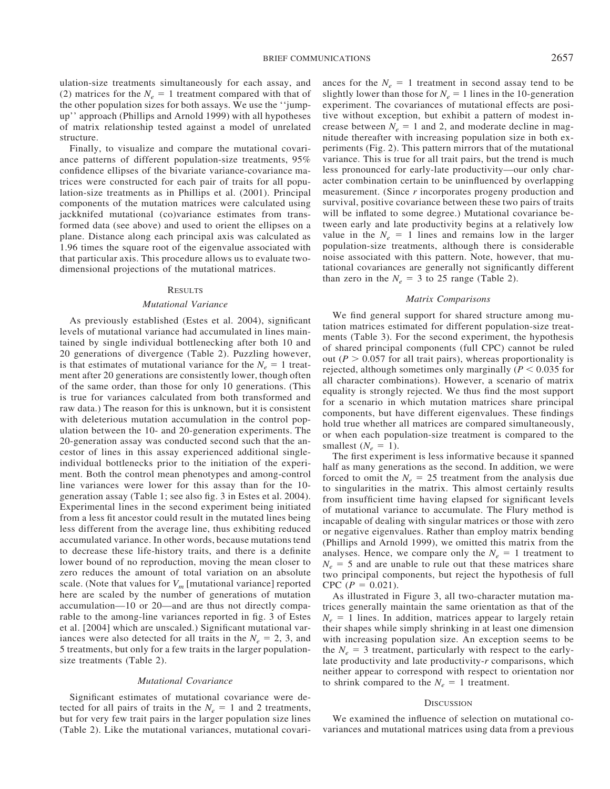ulation-size treatments simultaneously for each assay, and (2) matrices for the  $N_e = 1$  treatment compared with that of the other population sizes for both assays. We use the ''jumpup'' approach (Phillips and Arnold 1999) with all hypotheses of matrix relationship tested against a model of unrelated structure.

Finally, to visualize and compare the mutational covariance patterns of different population-size treatments, 95% confidence ellipses of the bivariate variance-covariance matrices were constructed for each pair of traits for all population-size treatments as in Phillips et al. (2001). Principal components of the mutation matrices were calculated using jackknifed mutational (co)variance estimates from transformed data (see above) and used to orient the ellipses on a plane. Distance along each principal axis was calculated as 1.96 times the square root of the eigenvalue associated with that particular axis. This procedure allows us to evaluate twodimensional projections of the mutational matrices.

### **RESULTS**

#### *Mutational Variance*

As previously established (Estes et al. 2004), significant levels of mutational variance had accumulated in lines maintained by single individual bottlenecking after both 10 and 20 generations of divergence (Table 2). Puzzling however, is that estimates of mutational variance for the  $N_e = 1$  treatment after 20 generations are consistently lower, though often of the same order, than those for only 10 generations. (This is true for variances calculated from both transformed and raw data.) The reason for this is unknown, but it is consistent with deleterious mutation accumulation in the control population between the 10- and 20-generation experiments. The 20-generation assay was conducted second such that the ancestor of lines in this assay experienced additional singleindividual bottlenecks prior to the initiation of the experiment. Both the control mean phenotypes and among-control line variances were lower for this assay than for the 10 generation assay (Table 1; see also fig. 3 in Estes et al. 2004). Experimental lines in the second experiment being initiated from a less fit ancestor could result in the mutated lines being less different from the average line, thus exhibiting reduced accumulated variance. In other words, because mutations tend to decrease these life-history traits, and there is a definite lower bound of no reproduction, moving the mean closer to zero reduces the amount of total variation on an absolute scale. (Note that values for  $V_m$  [mutational variance] reported here are scaled by the number of generations of mutation accumulation—10 or 20—and are thus not directly comparable to the among-line variances reported in fig. 3 of Estes et al. [2004] which are unscaled.) Significant mutational variances were also detected for all traits in the  $N_e = 2$ , 3, and 5 treatments, but only for a few traits in the larger populationsize treatments (Table 2).

### *Mutational Covariance*

Significant estimates of mutational covariance were detected for all pairs of traits in the  $N_e = 1$  and 2 treatments, but for very few trait pairs in the larger population size lines (Table 2). Like the mutational variances, mutational covari-

ances for the  $N_e = 1$  treatment in second assay tend to be slightly lower than those for  $N_e = 1$  lines in the 10-generation experiment. The covariances of mutational effects are positive without exception, but exhibit a pattern of modest increase between  $N_e = 1$  and 2, and moderate decline in magnitude thereafter with increasing population size in both experiments (Fig. 2). This pattern mirrors that of the mutational variance. This is true for all trait pairs, but the trend is much less pronounced for early-late productivity—our only character combination certain to be uninfluenced by overlapping measurement. (Since *r* incorporates progeny production and survival, positive covariance between these two pairs of traits will be inflated to some degree.) Mutational covariance between early and late productivity begins at a relatively low value in the  $N_e = 1$  lines and remains low in the larger population-size treatments, although there is considerable noise associated with this pattern. Note, however, that mutational covariances are generally not significantly different than zero in the  $N_e = 3$  to 25 range (Table 2).

#### *Matrix Comparisons*

We find general support for shared structure among mutation matrices estimated for different population-size treatments (Table 3). For the second experiment, the hypothesis of shared principal components (full CPC) cannot be ruled out ( $P > 0.057$  for all trait pairs), whereas proportionality is rejected, although sometimes only marginally ( $P < 0.035$  for all character combinations). However, a scenario of matrix equality is strongly rejected. We thus find the most support for a scenario in which mutation matrices share principal components, but have different eigenvalues. These findings hold true whether all matrices are compared simultaneously, or when each population-size treatment is compared to the smallest  $(N_e = 1)$ .

The first experiment is less informative because it spanned half as many generations as the second. In addition, we were forced to omit the  $N_e = 25$  treatment from the analysis due to singularities in the matrix. This almost certainly results from insufficient time having elapsed for significant levels of mutational variance to accumulate. The Flury method is incapable of dealing with singular matrices or those with zero or negative eigenvalues. Rather than employ matrix bending (Phillips and Arnold 1999), we omitted this matrix from the analyses. Hence, we compare only the  $N_e = 1$  treatment to  $N_e = 5$  and are unable to rule out that these matrices share two principal components, but reject the hypothesis of full  $CPC (P = 0.021).$ 

As illustrated in Figure 3, all two-character mutation matrices generally maintain the same orientation as that of the  $N_e = 1$  lines. In addition, matrices appear to largely retain their shapes while simply shrinking in at least one dimension with increasing population size. An exception seems to be the  $N_e = 3$  treatment, particularly with respect to the earlylate productivity and late productivity-*r* comparisons, which neither appear to correspond with respect to orientation nor to shrink compared to the  $N_e = 1$  treatment.

#### **DISCUSSION**

We examined the influence of selection on mutational covariances and mutational matrices using data from a previous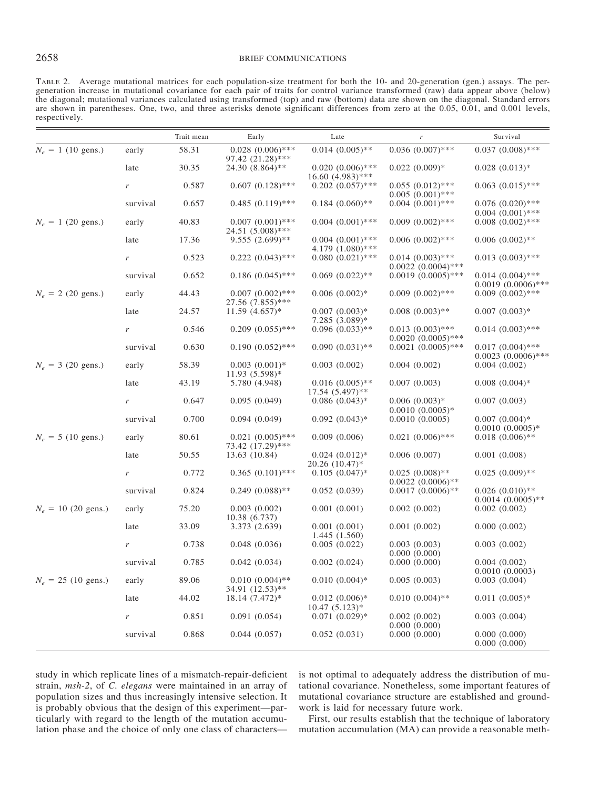# 2658 BRIEF COMMUNICATIONS

TABLE 2. Average mutational matrices for each population-size treatment for both the 10- and 20-generation (gen.) assays. The pergeneration increase in mutational covariance for each pair of traits for control variance transformed (raw) data appear above (below) the diagonal; mutational variances calculated using transformed (top) and raw (bottom) data are shown on the diagonal. Standard errors are shown in parentheses. One, two, and three asterisks denote significant differences from zero at the 0.05, 0.01, and 0.001 levels, respectively.

|                                   |          | Trait mean | Early                                    | Late                                      | $\boldsymbol{r}$                             | Survival                                      |
|-----------------------------------|----------|------------|------------------------------------------|-------------------------------------------|----------------------------------------------|-----------------------------------------------|
| $N_e = 1$ (10 gens.)<br>late<br>r | early    | 58.31      | $0.028(0.006)$ ***<br>97.42 (21.28)***   | $0.014~(0.005)$ **                        | $0.036(0.007)$ ***                           | $0.037(0.008)$ ***                            |
|                                   |          | 30.35      | 24.30 (8.864)**                          | $0.020(0.006)$ ***<br>$16.60 (4.983)$ *** | $0.022(0.009)*$                              | $0.028(0.013)*$                               |
|                                   |          | 0.587      | $0.607(0.128)$ ***                       | $0.202(0.057)$ ***                        | $0.055(0.012)$ ***<br>$0.005(0.001)$ ***     | $0.063$ $(0.015)$ ***                         |
|                                   | survival | 0.657      | $0.485(0.119)$ ***                       | $0.184~(0.060)$ **                        | $0.004(0.001)$ ***                           | $0.076(0.020)$ ***<br>$0.004~(0.001)$ ***     |
| $N_e = 1$ (20 gens.)              | early    | 40.83      | $0.007(0.001)$ ***<br>24.51 (5.008)***   | $0.004(0.001)$ ***                        | $0.009(0.002)$ ***                           | $0.008$ $(0.002)$ ***                         |
|                                   | late     | 17.36      | $9.555(2.699)$ **                        | $0.004(0.001)$ ***<br>4.179 (1.080)***    | $0.006(0.002)$ ***                           | $0.006(0.002)$ **                             |
|                                   | r        | 0.523      | $0.222(0.043)$ ***                       | $0.080(0.021)$ ***                        | $0.014~(0.003)$ ***<br>$0.0022~(0.0004)$ *** | $0.013(0.003)$ ***                            |
|                                   | survival | 0.652      | $0.186(0.045)$ ***                       | $0.069(0.022)$ **                         | $0.0019(0.0005)$ ***                         | $0.014~(0.004)$ ***<br>$0.0019(0.0006)$ ***   |
| $N_e = 2$ (20 gens.)              | early    | 44.43      | $0.007(0.002)$ ***<br>$27.56(7.855)$ *** | $0.006(0.002)*$                           | $0.009(0.002)$ ***                           | $0.009(0.002)$ ***                            |
|                                   | late     | 24.57      | $11.59(4.657)*$                          | $0.007(0.003)*$<br>7.285 (3.089)*         | $0.008(0.003)$ **                            | $0.007(0.003)*$                               |
|                                   | r        | 0.546      | $0.209(0.055)$ ***                       | $0.096(0.033)$ **                         | $0.013(0.003)$ ***<br>$0.0020(0.0005)$ ***   | $0.014~(0.003)$ ***                           |
|                                   | survival | 0.630      | $0.190(0.052)$ ***                       | $0.090(0.031)$ **                         | $0.0021 (0.0005)$ ***                        | $0.017(0.004)$ ***<br>$0.0023$ $(0.0006)$ *** |
| $N_e = 3$ (20 gens.)              | early    | 58.39      | $0.003(0.001)*$<br>$11.93(5.598)*$       | 0.003(0.002)                              | 0.004(0.002)                                 | 0.004(0.002)                                  |
|                                   | late     | 43.19      | 5.780 (4.948)                            | $0.016(0.005)$ **<br>$17.54(5.497)$ **    | 0.007(0.003)                                 | $0.008(0.004)$ *                              |
|                                   | r        | 0.647      | 0.095(0.049)                             | $0.086(0.043)$ *                          | $0.006(0.003)*$<br>$0.0010(0.0005)*$         | 0.007(0.003)                                  |
|                                   | survival | 0.700      | 0.094(0.049)                             | $0.092(0.043)*$                           | 0.0010(0.0005)                               | $0.007(0.004)*$<br>$0.0010(0.0005)*$          |
| $N_e = 5$ (10 gens.)              | early    | 80.61      | $0.021(0.005)$ ***<br>73.42 (17.29)***   | 0.009(0.006)                              | $0.021 (0.006)$ ***                          | $0.018(0.006)$ **                             |
|                                   | late     | 50.55      | 13.63 (10.84)                            | $0.024(0.012)*$<br>20.26 (10.47)*         | 0.006(0.007)                                 | 0.001(0.008)                                  |
|                                   | r        | 0.772      | $0.365(0.101)$ ***                       | $0.105(0.047)$ *                          | $0.025(0.008)$ **<br>$0.0022$ $(0.0006)$ **  | $0.025(0.009)$ **                             |
|                                   | survival | 0.824      | $0.249(0.088)$ **                        | 0.052(0.039)                              | $0.0017(0.0006)$ **                          | $0.026(0.010)$ **<br>$0.0014(0.0005)$ **      |
| $N_e = 10$ (20 gens.)             | early    | 75.20      | 0.003(0.002)<br>10.38 (6.737)            | 0.001(0.001)                              | 0.002(0.002)                                 | 0.002(0.002)                                  |
|                                   | late     | 33.09      | 3.373 (2.639)                            | 0.001(0.001)<br>1.445(1.560)              | 0.001(0.002)                                 | 0.000(0.002)                                  |
|                                   | r        | 0.738      | 0.048(0.036)                             | 0.005(0.022)                              | 0.003(0.003)<br>0.000(0.000)                 | 0.003(0.002)                                  |
|                                   | survival | 0.785      | 0.042(0.034)                             | 0.002(0.024)                              | 0.000(0.000)                                 | 0.004(0.002)<br>0.0010(0.0003)                |
| $N_e = 25$ (10 gens.)             | early    | 89.06      | $0.010(0.004)$ **<br>34.91 (12.53)**     | $0.010(0.004)$ *                          | 0.005(0.003)                                 | 0.003(0.004)                                  |
|                                   | late     | 44.02      | $18.14(7.472)*$                          | $0.012(0.006)*$<br>$10.47(5.123)*$        | $0.010(0.004)$ **                            | $0.011(0.005)*$                               |
|                                   | r        | 0.851      | 0.091(0.054)                             | $0.071(0.029)*$                           | 0.002(0.002)<br>0.000(0.000)                 | 0.003(0.004)                                  |
|                                   | survival | 0.868      | 0.044(0.057)                             | 0.052(0.031)                              | 0.000(0.000)                                 | 0.000(0.000)<br>0.000(0.000)                  |

study in which replicate lines of a mismatch-repair-deficient strain, *msh-2*, of *C. elegans* were maintained in an array of population sizes and thus increasingly intensive selection. It is probably obvious that the design of this experiment—particularly with regard to the length of the mutation accumulation phase and the choice of only one class of charactersis not optimal to adequately address the distribution of mutational covariance. Nonetheless, some important features of mutational covariance structure are established and groundwork is laid for necessary future work.

First, our results establish that the technique of laboratory mutation accumulation (MA) can provide a reasonable meth-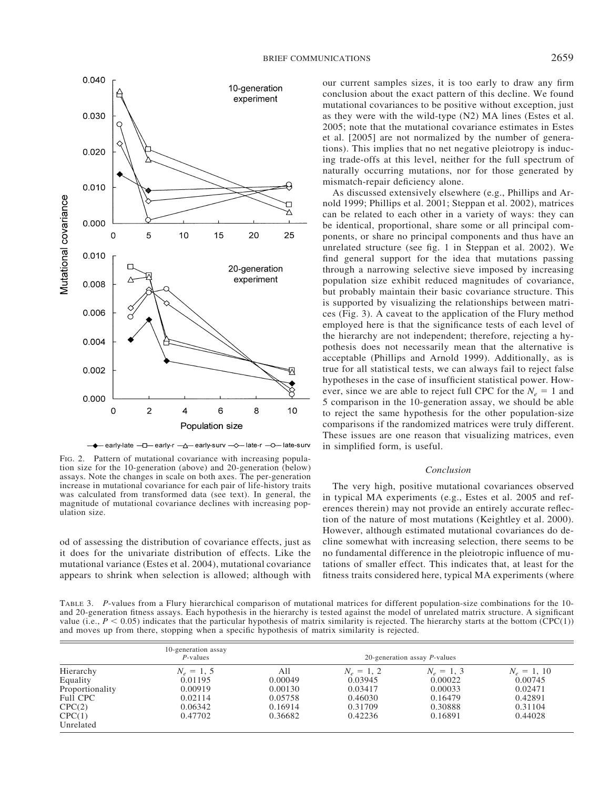

- + early-late - D early-r - A - early-surv - A - late-r - O - late-surv

FIG. 2. Pattern of mutational covariance with increasing population size for the 10-generation (above) and 20-generation (below) assays. Note the changes in scale on both axes. The per-generation increase in mutational covariance for each pair of life-history traits was calculated from transformed data (see text). In general, the magnitude of mutational covariance declines with increasing population size.

od of assessing the distribution of covariance effects, just as it does for the univariate distribution of effects. Like the mutational variance (Estes et al. 2004), mutational covariance appears to shrink when selection is allowed; although with our current samples sizes, it is too early to draw any firm conclusion about the exact pattern of this decline. We found mutational covariances to be positive without exception, just as they were with the wild-type (N2) MA lines (Estes et al. 2005; note that the mutational covariance estimates in Estes et al. [2005] are not normalized by the number of generations). This implies that no net negative pleiotropy is inducing trade-offs at this level, neither for the full spectrum of naturally occurring mutations, nor for those generated by mismatch-repair deficiency alone.

As discussed extensively elsewhere (e.g., Phillips and Arnold 1999; Phillips et al. 2001; Steppan et al. 2002), matrices can be related to each other in a variety of ways: they can be identical, proportional, share some or all principal components, or share no principal components and thus have an unrelated structure (see fig. 1 in Steppan et al. 2002). We find general support for the idea that mutations passing through a narrowing selective sieve imposed by increasing population size exhibit reduced magnitudes of covariance, but probably maintain their basic covariance structure. This is supported by visualizing the relationships between matrices (Fig. 3). A caveat to the application of the Flury method employed here is that the significance tests of each level of the hierarchy are not independent; therefore, rejecting a hypothesis does not necessarily mean that the alternative is acceptable (Phillips and Arnold 1999). Additionally, as is true for all statistical tests, we can always fail to reject false hypotheses in the case of insufficient statistical power. However, since we are able to reject full CPC for the  $N_e = 1$  and 5 comparison in the 10-generation assay, we should be able to reject the same hypothesis for the other population-size comparisons if the randomized matrices were truly different. These issues are one reason that visualizing matrices, even in simplified form, is useful.

## *Conclusion*

The very high, positive mutational covariances observed in typical MA experiments (e.g., Estes et al. 2005 and references therein) may not provide an entirely accurate reflection of the nature of most mutations (Keightley et al. 2000). However, although estimated mutational covariances do decline somewhat with increasing selection, there seems to be no fundamental difference in the pleiotropic influence of mutations of smaller effect. This indicates that, at least for the fitness traits considered here, typical MA experiments (where

TABLE 3. *P*-values from a Flury hierarchical comparison of mutational matrices for different population-size combinations for the 10 and 20-generation fitness assays. Each hypothesis in the hierarchy is tested against the model of unrelated matrix structure. A significant value (i.e.,  $P < 0.05$ ) indicates that the particular hypothesis of matrix similarity is rejected. The hierarchy starts at the bottom (CPC(1)) and moves up from there, stopping when a specific hypothesis of matrix similarity is rejected.

| Hierarchy       | 10-generation assay<br>$P$ -values | 20-generation assay $P$ -values |              |              |               |  |
|-----------------|------------------------------------|---------------------------------|--------------|--------------|---------------|--|
|                 | $N_e = 1, 5$                       | All                             | $N_e = 1, 2$ | $N_e = 1, 3$ | $N_e = 1, 10$ |  |
| Equality        | 0.01195                            | 0.00049                         | 0.03945      | 0.00022      | 0.00745       |  |
| Proportionality | 0.00919                            | 0.00130                         | 0.03417      | 0.00033      | 0.02471       |  |
| Full CPC        | 0.02114                            | 0.05758                         | 0.46030      | 0.16479      | 0.42891       |  |
| CPC(2)          | 0.06342                            | 0.16914                         | 0.31709      | 0.30888      | 0.31104       |  |
| CPC(1)          | 0.47702                            | 0.36682                         | 0.42236      | 0.16891      | 0.44028       |  |
| Unrelated       |                                    |                                 |              |              |               |  |